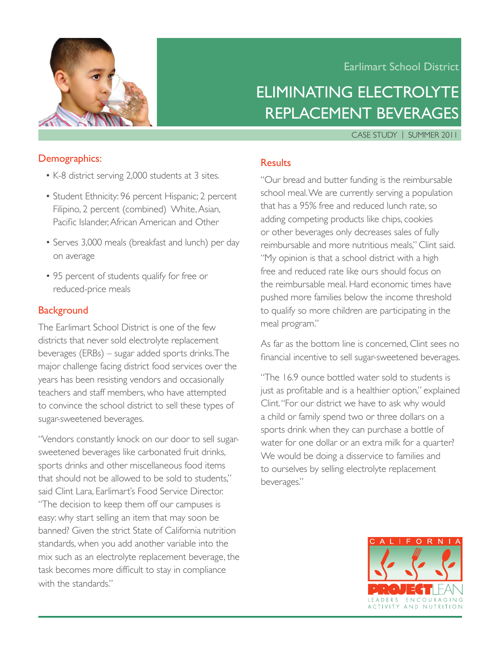

### Earlimart School District

# Eliminating Electrolyte Replacement Beverages

CASE STUDY | SUMMER 2011

#### Demographics:

- •K-8 district serving 2,000 students at 3 sites.
- Student Ethnicity: 96 percent Hispanic; 2 percent Filipino, 2 percent (combined) White, Asian, Pacific Islander,African American and Other
- Serves 3,000 meals (breakfast and lunch) per day on average
- 95 percent of students qualify for free or reduced-price meals

#### **Background**

The Earlimart School District is one of the few districts that never sold electrolyte replacement beverages (ERBs) – sugar added sports drinks.The major challenge facing district food services over the years has been resisting vendors and occasionally teachers and staff members, who have attempted to convince the school district to sell these types of sugar-sweetened beverages.

"Vendors constantly knock on our door to sell sugarsweetened beverages like carbonated fruit drinks, sports drinks and other miscellaneous food items that should not be allowed to be sold to students," said Clint Lara, Earlimart's Food Service Director. "The decision to keep them off our campuses is easy: why start selling an item that may soon be banned? Given the strict State of California nutrition standards, when you add another variable into the mix such as an electrolyte replacement beverage, the task becomes more difficult to stay in compliance with the standards."

## Results

"Our bread and butter funding is the reimbursable school meal.We are currently serving a population that has a 95% free and reduced lunch rate, so adding competing products like chips, cookies or other beverages only decreases sales of fully reimbursable and more nutritious meals," Clint said. "My opinion is that a school district with a high free and reduced rate like ours should focus on the reimbursable meal. Hard economic times have pushed more families below the income threshold to qualify so more children are participating in the meal program."

As far as the bottom line is concerned, Clint sees no financial incentive to sell sugar-sweetened beverages.

"The 16.9 ounce bottled water sold to students is just as profitable and is a healthier option," explained Clint."For our district we have to ask why would a child or family spend two or three dollars on a sports drink when they can purchase a bottle of water for one dollar or an extra milk for a quarter? We would be doing a disservice to families and to ourselves by selling electrolyte replacement beverages."